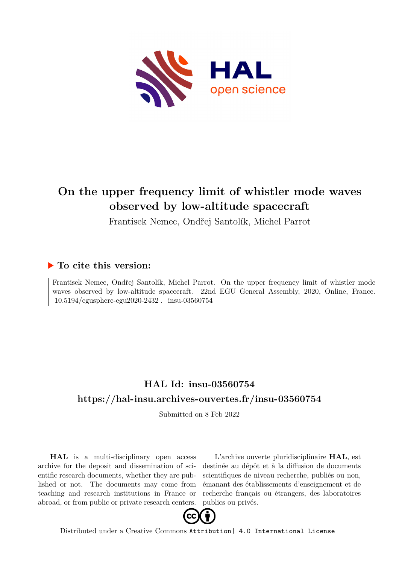

## **On the upper frequency limit of whistler mode waves observed by low-altitude spacecraft**

Frantisek Nemec, Ondřej Santolík, Michel Parrot

## **To cite this version:**

Frantisek Nemec, Ondřej Santolík, Michel Parrot. On the upper frequency limit of whistler mode waves observed by low-altitude spacecraft. 22nd EGU General Assembly, 2020, Online, France. 10.5194/egusphere-egu2020-2432. insu-03560754

## **HAL Id: insu-03560754 <https://hal-insu.archives-ouvertes.fr/insu-03560754>**

Submitted on 8 Feb 2022

**HAL** is a multi-disciplinary open access archive for the deposit and dissemination of scientific research documents, whether they are published or not. The documents may come from teaching and research institutions in France or abroad, or from public or private research centers.

L'archive ouverte pluridisciplinaire **HAL**, est destinée au dépôt et à la diffusion de documents scientifiques de niveau recherche, publiés ou non, émanant des établissements d'enseignement et de recherche français ou étrangers, des laboratoires publics ou privés.



Distributed under a Creative Commons [Attribution| 4.0 International License](http://creativecommons.org/licenses/by/4.0/)